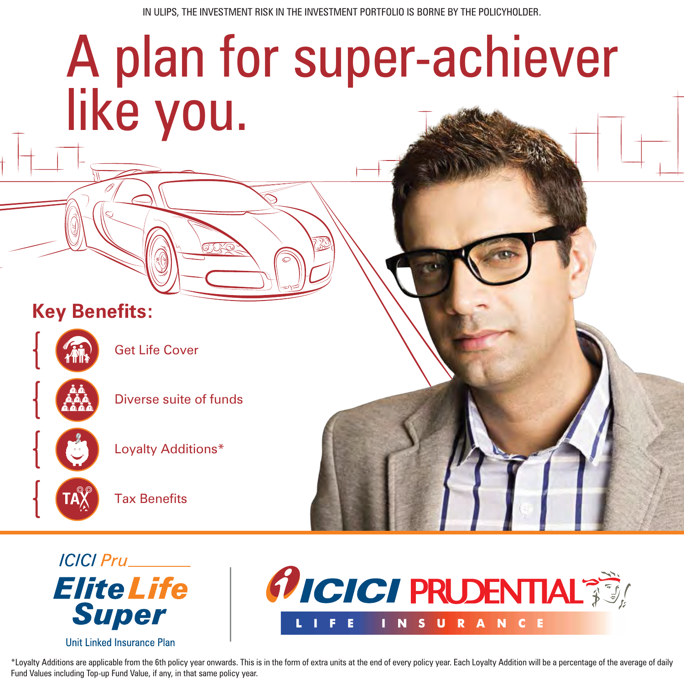IN ULIPS, THE INVESTMENT RISK IN THE INVESTMENT PORTFOLIO IS BORNE BY THE POLICYHOLDER.

# A plan for super-achiever like you. **Key Benefits:**



Get Life Cover



Loyalty Additions\*

Tax Benefits



Unit Linked Insurance Plan

**Elite Life** 

**Super** 

**ICICI Pru** 

\*Loyalty Additions are applicable from the 6th policy year onwards. This is in the form of extra units at the end of every policy year. Each Loyalty Addition will be a percentage of the average of daily Fund Values including Top-up Fund Value, if any, in that same policy year.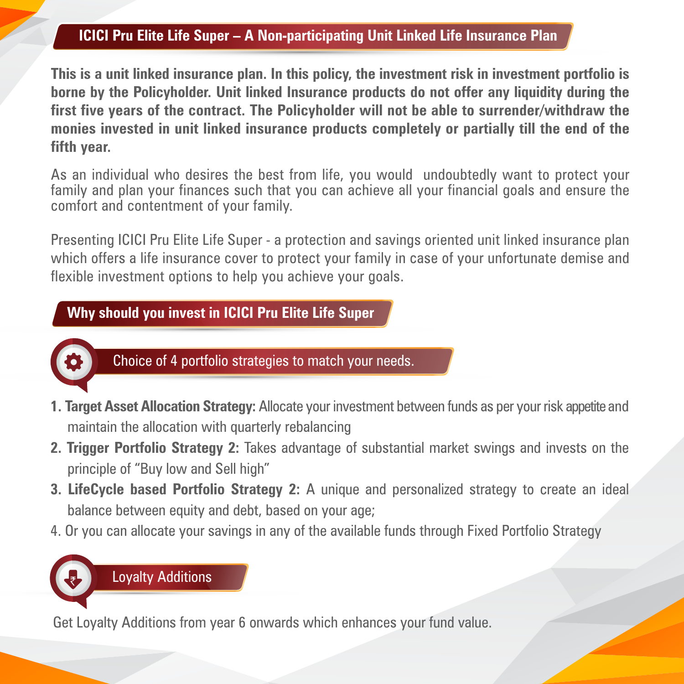#### **ICICI Pru Elite Life Super – A Non-participating Unit Linked Life Insurance Plan**

**This is a unit linked insurance plan. In this policy, the investment risk in investment portfolio is borne by the Policyholder. Unit linked Insurance products do not offer any liquidity during the first five years of the contract. The Policyholder will not be able to surrender/withdraw the monies invested in unit linked insurance products completely or partially till the end of the fifth year.**

As an individual who desires the best from life, you would undoubtedly want to protect your family and plan your finances such that you can achieve all your financial goals and ensure the comfort and contentment of your family.

Presenting ICICI Pru Elite Life Super - a protection and savings oriented unit linked insurance plan which offers a life insurance cover to protect your family in case of your unfortunate demise and flexible investment options to help you achieve your goals.

#### **Why should you invest in ICICI Pru Elite Life Super**



Choice of 4 portfolio strategies to match your needs.

- **1. Target Asset Allocation Strategy:** Allocate your investment between funds as per your risk appetite and maintain the allocation with quarterly rebalancing
- **2. Trigger Portfolio Strategy 2:** Takes advantage of substantial market swings and invests on the principle of "Buy low and Sell high"
- **3. LifeCycle based Portfolio Strategy 2:** A unique and personalized strategy to create an ideal balance between equity and debt, based on your age;
- 4. Or you can allocate your savings in any of the available funds through Fixed Portfolio Strategy



Get Loyalty Additions from year 6 onwards which enhances your fund value.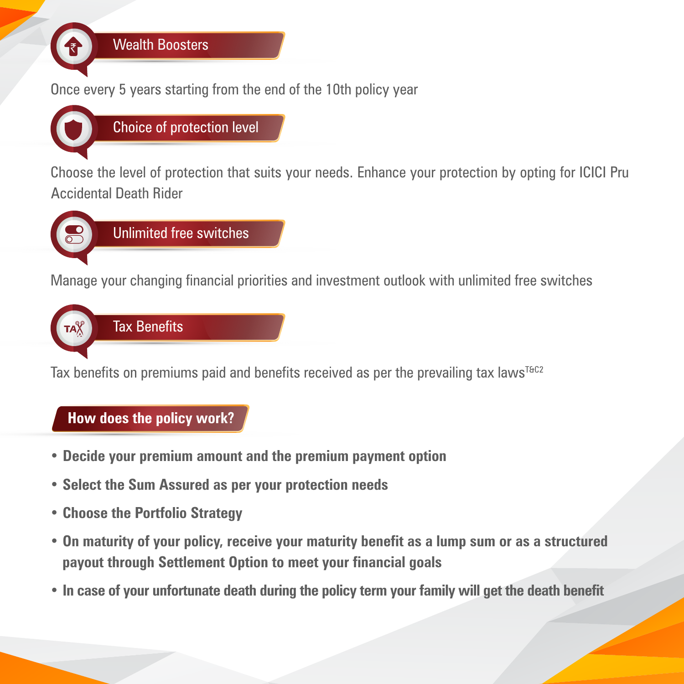

Choose the level of protection that suits your needs. Enhance your protection by opting for ICICI Pru Accidental Death Rider



Manage your changing financial priorities and investment outlook with unlimited free switches



Tax benefits on premiums paid and benefits received as per the prevailing tax laws<sup>T&C2</sup>

### **How does the policy work?**

- **Decide your premium amount and the premium payment option**
- **Select the Sum Assured as per your protection needs**
- **Choose the Portfolio Strategy**
- **On maturity of your policy, receive your maturity benefit as a lump sum or as a structured payout through Settlement Option to meet your financial goals**
- **In case of your unfortunate death during the policy term your family will get the death benefit**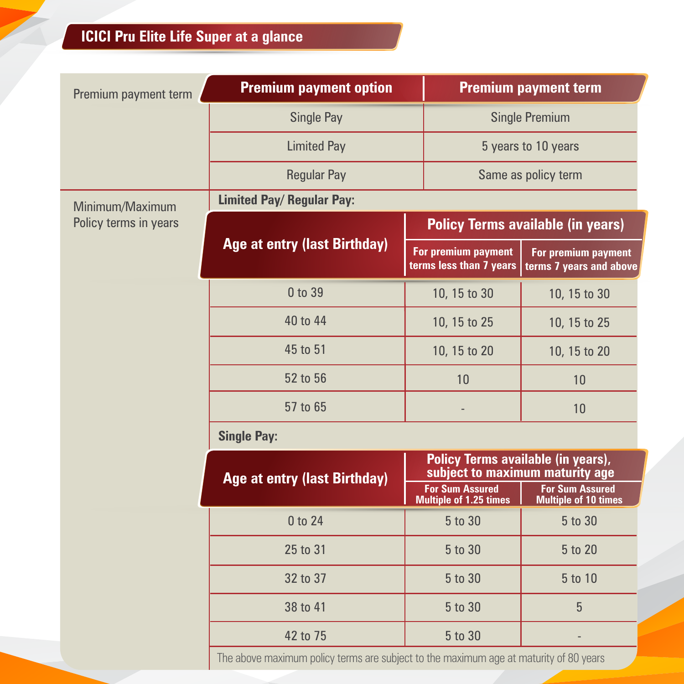| Premium payment term  | <b>Premium payment option</b>       |                                                                       | <b>Premium payment term</b>                      |                                                       |  |
|-----------------------|-------------------------------------|-----------------------------------------------------------------------|--------------------------------------------------|-------------------------------------------------------|--|
|                       | <b>Single Pay</b>                   |                                                                       | <b>Single Premium</b>                            |                                                       |  |
|                       | <b>Limited Pay</b>                  |                                                                       | 5 years to 10 years                              |                                                       |  |
|                       | <b>Regular Pay</b>                  |                                                                       |                                                  | Same as policy term                                   |  |
| Minimum/Maximum       | <b>Limited Pay/ Regular Pay:</b>    |                                                                       |                                                  |                                                       |  |
| Policy terms in years |                                     |                                                                       |                                                  | <b>Policy Terms available (in years)</b>              |  |
|                       | <b>Age at entry (last Birthday)</b> |                                                                       | For premium payment<br>terms less than 7 years   | For premium payment<br>terms 7 years and above        |  |
|                       | 0 to 39                             |                                                                       | 10, 15 to 30                                     | 10, 15 to 30                                          |  |
|                       | 40 to 44                            |                                                                       | 10, 15 to 25                                     | 10, 15 to 25                                          |  |
|                       | 45 to 51                            |                                                                       | 10, 15 to 20                                     | 10, 15 to 20                                          |  |
|                       | 52 to 56                            |                                                                       | 10                                               | 10                                                    |  |
|                       | 57 to 65                            |                                                                       |                                                  | 10                                                    |  |
|                       | <b>Single Pay:</b>                  |                                                                       |                                                  |                                                       |  |
|                       | <b>Age at entry (last Birthday)</b> | Policy Terms available (in years),<br>subject to maximum maturity age |                                                  |                                                       |  |
|                       |                                     |                                                                       | <b>For Sum Assured</b><br>Multiple of 1.25 times | <b>For Sum Assured</b><br><b>Multiple of 10 times</b> |  |
|                       | 0 to 24                             |                                                                       | 5 to 30                                          | 5 to 30                                               |  |
|                       | 25 to 31                            |                                                                       | 5 to 30                                          | 5 to 20                                               |  |
|                       | 32 to 37                            |                                                                       | 5 to 30                                          | 5 to 10                                               |  |
|                       | 38 to 41                            |                                                                       | 5 to 30                                          | 5                                                     |  |
|                       | 42 to 75                            |                                                                       | 5 to 30                                          |                                                       |  |

The above maximum policy terms are subject to the maximum age at maturity of 80 years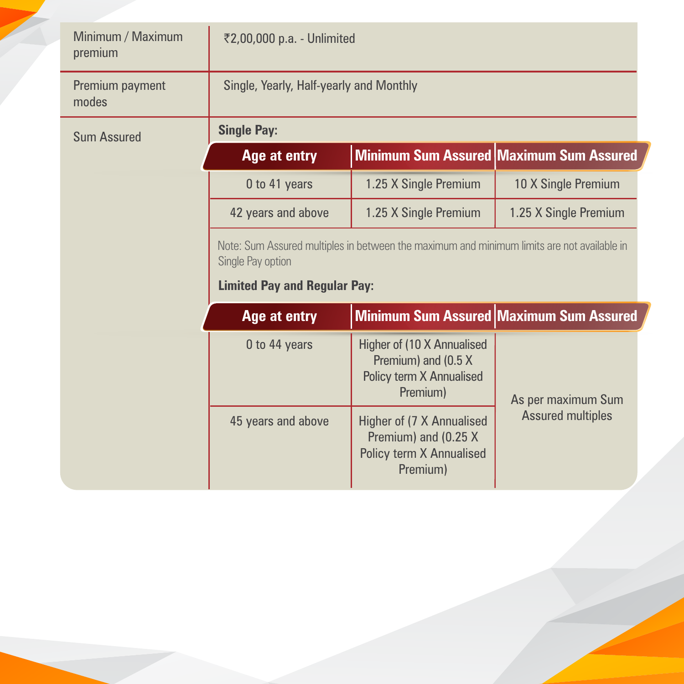| Minimum / Maximum<br>premium | ₹2,00,000 p.a. - Unlimited                                                                                                                             |                                                                                                  |                                                |  |
|------------------------------|--------------------------------------------------------------------------------------------------------------------------------------------------------|--------------------------------------------------------------------------------------------------|------------------------------------------------|--|
| Premium payment<br>modes     | Single, Yearly, Half-yearly and Monthly                                                                                                                |                                                                                                  |                                                |  |
| <b>Sum Assured</b>           | <b>Single Pay:</b>                                                                                                                                     |                                                                                                  |                                                |  |
|                              | Age at entry                                                                                                                                           |                                                                                                  | Minimum Sum Assured Maximum Sum Assured        |  |
|                              | 0 to 41 years                                                                                                                                          | 1.25 X Single Premium                                                                            | 10 X Single Premium                            |  |
|                              | 42 years and above<br>1.25 X Single Premium                                                                                                            |                                                                                                  | 1.25 X Single Premium                          |  |
|                              | Note: Sum Assured multiples in between the maximum and minimum limits are not available in<br>Single Pay option<br><b>Limited Pay and Regular Pay:</b> |                                                                                                  |                                                |  |
|                              | Age at entry                                                                                                                                           |                                                                                                  | <b>Minimum Sum Assured Maximum Sum Assured</b> |  |
|                              | 0 to 44 years                                                                                                                                          | Higher of (10 X Annualised<br>Premium) and (0.5 X<br><b>Policy term X Annualised</b><br>Premium) | As per maximum Sum                             |  |
|                              | 45 years and above                                                                                                                                     | Higher of (7 X Annualised<br>Premium) and (0.25 X<br><b>Policy term X Annualised</b><br>Premium) | <b>Assured multiples</b>                       |  |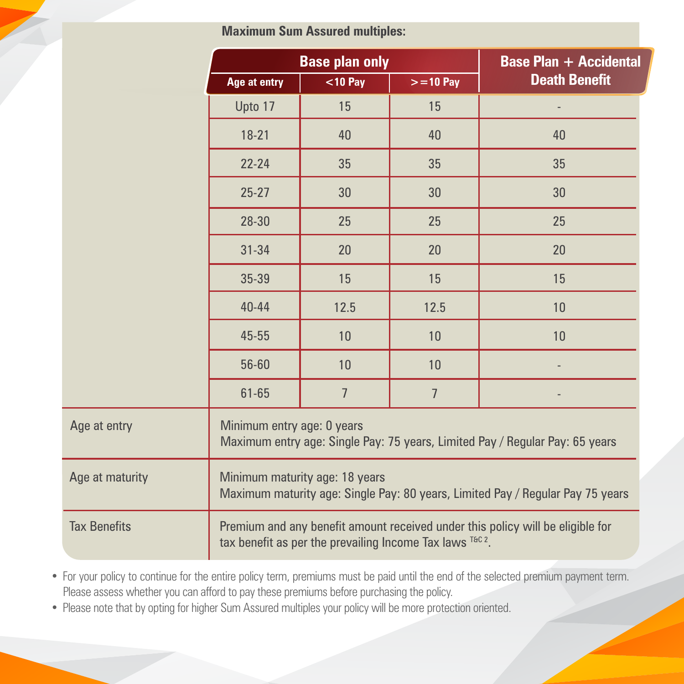**Maximum Sum Assured multiples:**

|                     | <b>Base plan only</b>                                                                                                                      |                | <b>Base Plan + Accidental</b> |                      |  |
|---------------------|--------------------------------------------------------------------------------------------------------------------------------------------|----------------|-------------------------------|----------------------|--|
|                     | Age at entry                                                                                                                               | $<$ 10 Pay     | $> = 10$ Pay                  | <b>Death Benefit</b> |  |
|                     | Upto 17                                                                                                                                    | 15             | 15                            |                      |  |
|                     | $18 - 21$                                                                                                                                  | 40             | 40                            | 40                   |  |
|                     | $22 - 24$                                                                                                                                  | 35             | 35                            | 35                   |  |
|                     | $25 - 27$                                                                                                                                  | 30             | 30                            | 30                   |  |
|                     | 28-30                                                                                                                                      | 25             | 25                            | 25                   |  |
|                     | $31 - 34$                                                                                                                                  | 20             | 20                            | 20                   |  |
|                     | 35-39                                                                                                                                      | 15             | 15                            | 15                   |  |
|                     | 40-44                                                                                                                                      | 12.5           | 12.5                          | 10                   |  |
|                     | 45-55                                                                                                                                      | 10             | 10                            | 10                   |  |
|                     | 56-60                                                                                                                                      | 10             | 10                            |                      |  |
|                     | 61-65                                                                                                                                      | $\overline{7}$ | $\overline{7}$                |                      |  |
| Age at entry        | Minimum entry age: 0 years<br>Maximum entry age: Single Pay: 75 years, Limited Pay / Regular Pay: 65 years                                 |                |                               |                      |  |
| Age at maturity     | Minimum maturity age: 18 years<br>Maximum maturity age: Single Pay: 80 years, Limited Pay / Regular Pay 75 years                           |                |                               |                      |  |
| <b>Tax Benefits</b> | Premium and any benefit amount received under this policy will be eligible for<br>tax benefit as per the prevailing Income Tax laws T&C 2. |                |                               |                      |  |

• For your policy to continue for the entire policy term, premiums must be paid until the end of the selected premium payment term. Please assess whether you can afford to pay these premiums before purchasing the policy.

• Please note that by opting for higher Sum Assured multiples your policy will be more protection oriented.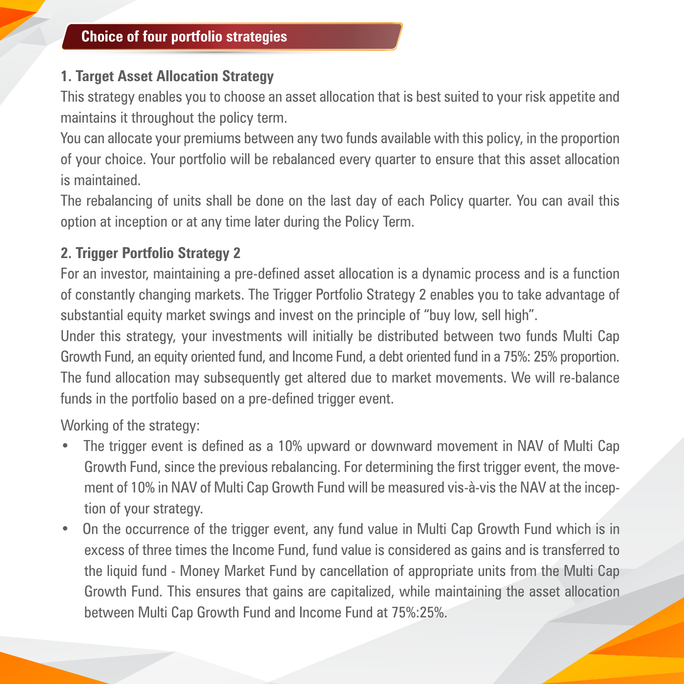# **1. Target Asset Allocation Strategy**

This strategy enables you to choose an asset allocation that is best suited to your risk appetite and maintains it throughout the policy term.

You can allocate your premiums between any two funds available with this policy, in the proportion of your choice. Your portfolio will be rebalanced every quarter to ensure that this asset allocation is maintained.

The rebalancing of units shall be done on the last day of each Policy quarter. You can avail this option at inception or at any time later during the Policy Term.

# **2. Trigger Portfolio Strategy 2**

For an investor, maintaining a pre-defined asset allocation is a dynamic process and is a function of constantly changing markets. The Trigger Portfolio Strategy 2 enables you to take advantage of substantial equity market swings and invest on the principle of "buy low, sell high".

Under this strategy, your investments will initially be distributed between two funds Multi Cap Growth Fund, an equity oriented fund, and Income Fund, a debt oriented fund in a 75%: 25% proportion. The fund allocation may subsequently get altered due to market movements. We will re-balance funds in the portfolio based on a pre-defined trigger event.

Working of the strategy:

- The trigger event is defined as a 10% upward or downward movement in NAV of Multi Cap Growth Fund, since the previous rebalancing. For determining the first trigger event, the movement of 10% in NAV of Multi Cap Growth Fund will be measured vis-à-vis the NAV at the inception of your strategy.
- On the occurrence of the trigger event, any fund value in Multi Cap Growth Fund which is in excess of three times the Income Fund, fund value is considered as gains and is transferred to the liquid fund - Money Market Fund by cancellation of appropriate units from the Multi Cap Growth Fund. This ensures that gains are capitalized, while maintaining the asset allocation between Multi Cap Growth Fund and Income Fund at 75%:25%.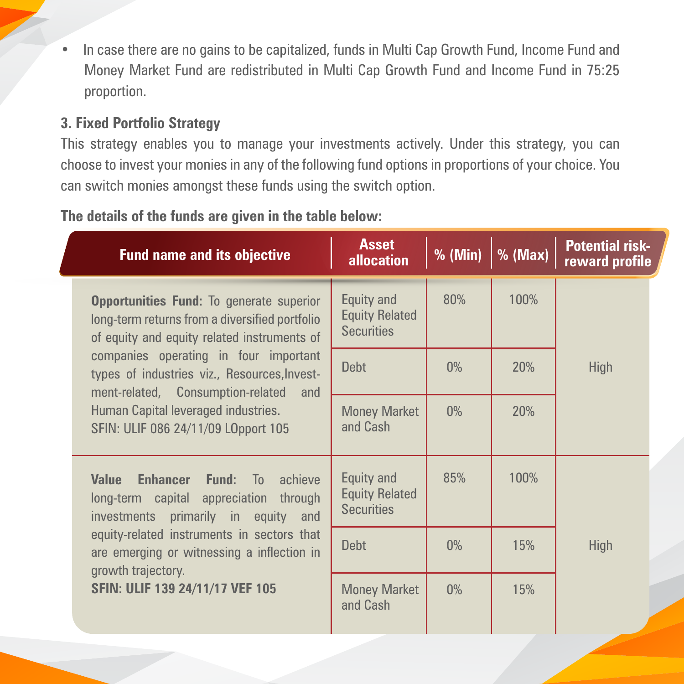• In case there are no gains to be capitalized, funds in Multi Cap Growth Fund, Income Fund and Money Market Fund are redistributed in Multi Cap Growth Fund and Income Fund in 75:25 proportion.

#### **3. Fixed Portfolio Strategy**

This strategy enables you to manage your investments actively. Under this strategy, you can choose to invest your monies in any of the following fund options in proportions of your choice. You can switch monies amongst these funds using the switch option.

#### **The details of the funds are given in the table below:**

| <b>Fund name and its objective</b>                                                                                                               | <b>Asset</b><br><b>allocation</b>                        | % (Min) | $%$ (Max) | <b>Potential risk-</b><br>reward profile |
|--------------------------------------------------------------------------------------------------------------------------------------------------|----------------------------------------------------------|---------|-----------|------------------------------------------|
| <b>Opportunities Fund: To generate superior</b><br>long-term returns from a diversified portfolio<br>of equity and equity related instruments of | Equity and<br><b>Equity Related</b><br><b>Securities</b> | 80%     | 100%      |                                          |
| companies operating in four important<br>types of industries viz., Resources, Invest-<br>ment-related, Consumption-related<br>and                | <b>Debt</b>                                              | $0\%$   | 20%       | <b>High</b>                              |
| Human Capital leveraged industries.<br>SFIN: ULIF 086 24/11/09 LOpport 105                                                                       | <b>Money Market</b><br>and Cash                          | $0\%$   | 20%       |                                          |
| Value<br><b>Enhancer Fund:</b> To achieve<br>long-term capital appreciation through<br>investments primarily in equity and                       | Equity and<br><b>Equity Related</b><br><b>Securities</b> | 85%     | 100%      |                                          |
| equity-related instruments in sectors that<br>are emerging or witnessing a inflection in<br>growth trajectory.                                   | <b>Debt</b>                                              | $0\%$   | 15%       | <b>High</b>                              |
| SFIN: ULIF 139 24/11/17 VEF 105                                                                                                                  | <b>Money Market</b><br>and Cash                          | $0\%$   | 15%       |                                          |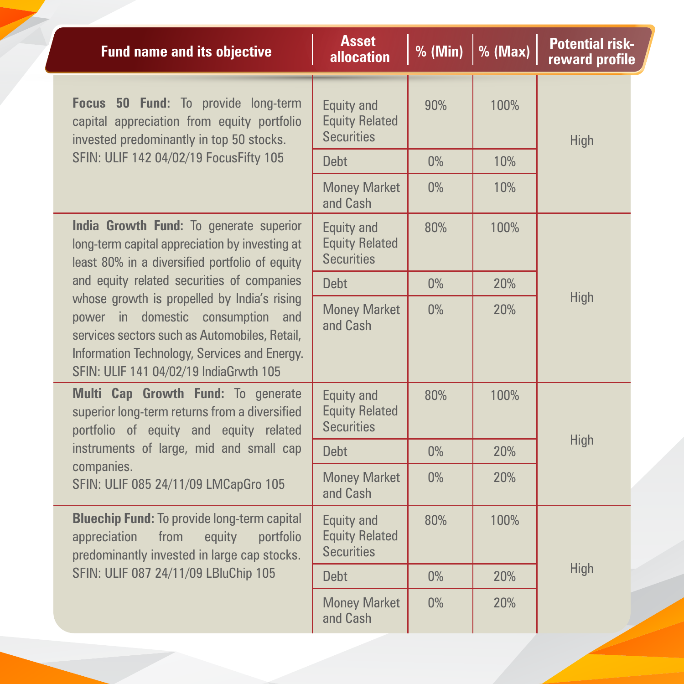| <b>Fund name and its objective</b>                                                                                                                                                                                          | <b>Asset</b><br><b>allocation</b>                               | % (Min) | $%$ (Max) | <b>Potential risk-</b><br>reward profile |
|-----------------------------------------------------------------------------------------------------------------------------------------------------------------------------------------------------------------------------|-----------------------------------------------------------------|---------|-----------|------------------------------------------|
| Focus 50 Fund: To provide long-term<br>capital appreciation from equity portfolio<br>invested predominantly in top 50 stocks.                                                                                               | <b>Equity and</b><br><b>Equity Related</b><br><b>Securities</b> | 90%     | 100%      | High                                     |
| SFIN: ULIF 142 04/02/19 FocusFifty 105                                                                                                                                                                                      | <b>Debt</b>                                                     | $0\%$   | 10%       |                                          |
|                                                                                                                                                                                                                             | <b>Money Market</b><br>and Cash                                 | $0\%$   | 10%       |                                          |
| India Growth Fund: To generate superior<br>long-term capital appreciation by investing at<br>least 80% in a diversified portfolio of equity                                                                                 | <b>Equity and</b><br><b>Equity Related</b><br><b>Securities</b> | 80%     | 100%      |                                          |
| and equity related securities of companies                                                                                                                                                                                  | <b>Debt</b>                                                     | $0\%$   | 20%       |                                          |
| whose growth is propelled by India's rising<br>power in domestic consumption and<br>services sectors such as Automobiles, Retail,<br>Information Technology, Services and Energy.<br>SFIN: ULIF 141 04/02/19 IndiaGrwth 105 | <b>Money Market</b><br>and Cash                                 | $0\%$   | 20%       | High                                     |
| Multi Cap Growth Fund: To generate<br>superior long-term returns from a diversified<br>portfolio of equity and equity related                                                                                               | <b>Equity and</b><br><b>Equity Related</b><br><b>Securities</b> | 80%     | 100%      |                                          |
| instruments of large, mid and small cap                                                                                                                                                                                     | <b>Debt</b>                                                     | $0\%$   | 20%       | <b>High</b>                              |
| companies.<br>SFIN: ULIF 085 24/11/09 LMCapGro 105                                                                                                                                                                          | <b>Money Market</b><br>and Cash                                 | $0\%$   | 20%       |                                          |
| <b>Bluechip Fund: To provide long-term capital</b><br>appreciation<br>from<br>equity<br>portfolio<br>predominantly invested in large cap stocks.                                                                            | <b>Equity and</b><br><b>Equity Related</b><br><b>Securities</b> | 80%     | 100%      |                                          |
| SFIN: ULIF 087 24/11/09 LBluChip 105                                                                                                                                                                                        | <b>Debt</b>                                                     | $0\%$   | 20%       | High                                     |
|                                                                                                                                                                                                                             | <b>Money Market</b><br>and Cash                                 | $0\%$   | 20%       |                                          |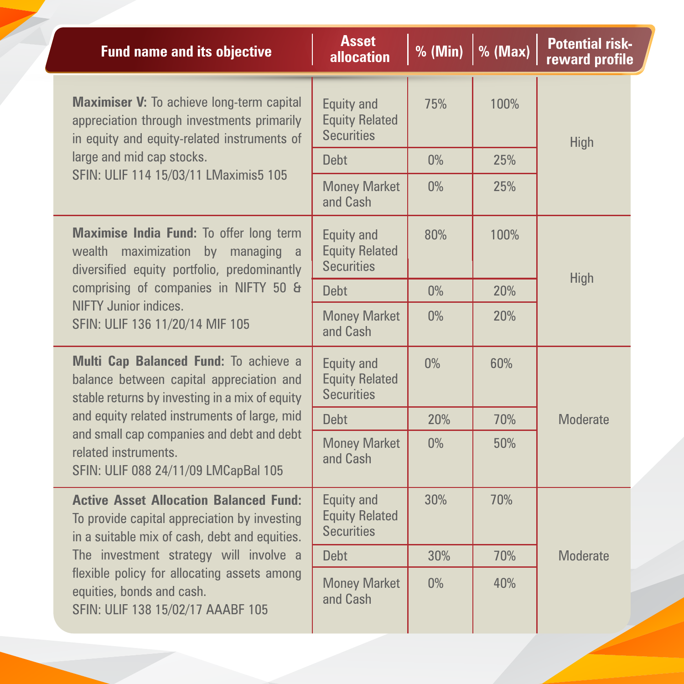| <b>Fund name and its objective</b>                                                                                                             | <b>Asset</b><br><b>allocation</b>                               | % (Min) | $%$ (Max) | <b>Potential risk-</b><br>reward profile |
|------------------------------------------------------------------------------------------------------------------------------------------------|-----------------------------------------------------------------|---------|-----------|------------------------------------------|
| <b>Maximiser V:</b> To achieve long-term capital<br>appreciation through investments primarily<br>in equity and equity-related instruments of  | <b>Equity and</b><br><b>Equity Related</b><br><b>Securities</b> | 75%     | 100%      | High                                     |
| large and mid cap stocks.                                                                                                                      | <b>Debt</b>                                                     | $0\%$   | 25%       |                                          |
| SFIN: ULIF 114 15/03/11 LMaximis5 105                                                                                                          | <b>Money Market</b><br>and Cash                                 | $0\%$   | 25%       |                                          |
| Maximise India Fund: To offer long term<br>wealth maximization by managing a<br>diversified equity portfolio, predominantly                    | <b>Equity and</b><br><b>Equity Related</b><br><b>Securities</b> | 80%     | 100%      |                                          |
| comprising of companies in NIFTY 50 &                                                                                                          | <b>Debt</b>                                                     | $0\%$   | 20%       | High                                     |
| NIFTY Junior indices.<br>SFIN: ULIF 136 11/20/14 MIF 105                                                                                       | <b>Money Market</b><br>and Cash                                 | $0\%$   | 20%       |                                          |
| Multi Cap Balanced Fund: To achieve a<br>balance between capital appreciation and<br>stable returns by investing in a mix of equity            | <b>Equity and</b><br><b>Equity Related</b><br><b>Securities</b> | $0\%$   | 60%       |                                          |
| and equity related instruments of large, mid                                                                                                   | <b>Debt</b>                                                     | 20%     | 70%       | <b>Moderate</b>                          |
| and small cap companies and debt and debt<br>related instruments.<br>SFIN: ULIF 088 24/11/09 LMCapBal 105                                      | <b>Money Market</b><br>and Cash                                 | $0\%$   | 50%       |                                          |
| <b>Active Asset Allocation Balanced Fund:</b><br>To provide capital appreciation by investing<br>in a suitable mix of cash, debt and equities. | Equity and<br><b>Equity Related</b><br><b>Securities</b>        | 30%     | 70%       |                                          |
| The investment strategy will involve a                                                                                                         | <b>Debt</b>                                                     | 30%     | 70%       | <b>Moderate</b>                          |
| flexible policy for allocating assets among<br>equities, bonds and cash.<br>SFIN: ULIF 138 15/02/17 AAABF 105                                  | <b>Money Market</b><br>and Cash                                 | $0\%$   | 40%       |                                          |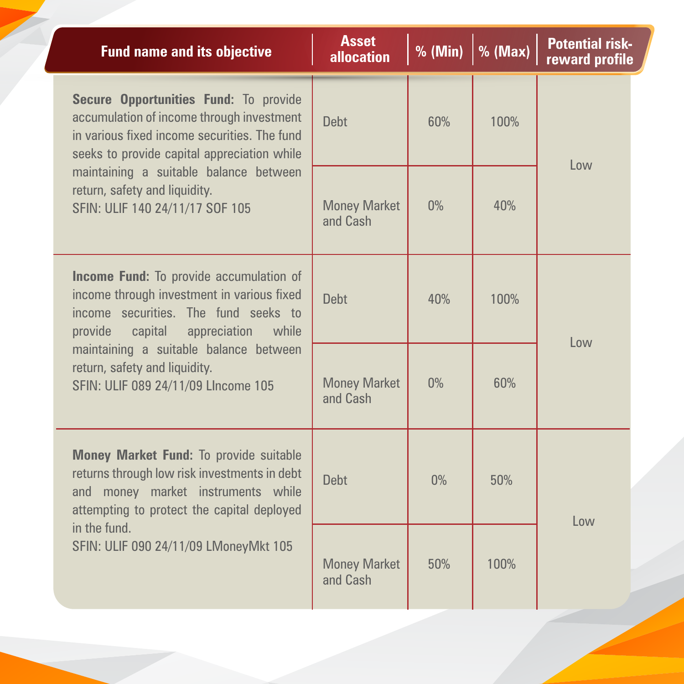| <b>Fund name and its objective</b>                                                                                                                                                  | <b>Asset</b><br><b>allocation</b> | % (Min) | $%$ (Max) | <b>Potential risk-</b><br>reward profile |
|-------------------------------------------------------------------------------------------------------------------------------------------------------------------------------------|-----------------------------------|---------|-----------|------------------------------------------|
| Secure Opportunities Fund: To provide<br>accumulation of income through investment<br>in various fixed income securities. The fund<br>seeks to provide capital appreciation while   | <b>Debt</b>                       | 60%     | 100%      | Low                                      |
| maintaining a suitable balance between<br>return, safety and liquidity.<br>SFIN: ULIF 140 24/11/17 SOF 105                                                                          | <b>Money Market</b><br>and Cash   | $0\%$   | 40%       |                                          |
| <b>Income Fund:</b> To provide accumulation of<br>income through investment in various fixed<br>income securities. The fund seeks to<br>provide<br>appreciation<br>while<br>capital | <b>Debt</b>                       | 40%     | 100%      | l ow                                     |
| maintaining a suitable balance between<br>return, safety and liquidity.<br>SFIN: ULIF 089 24/11/09 LIncome 105                                                                      | <b>Money Market</b><br>and Cash   | $0\%$   | 60%       |                                          |
| <b>Money Market Fund: To provide suitable</b><br>returns through low risk investments in debt<br>and money market instruments while<br>attempting to protect the capital deployed   | <b>Debt</b>                       | $0\%$   | 50%       | l ow                                     |
| in the fund.<br>SFIN: ULIF 090 24/11/09 LMoneyMkt 105                                                                                                                               | <b>Money Market</b><br>and Cash   | 50%     | 100%      |                                          |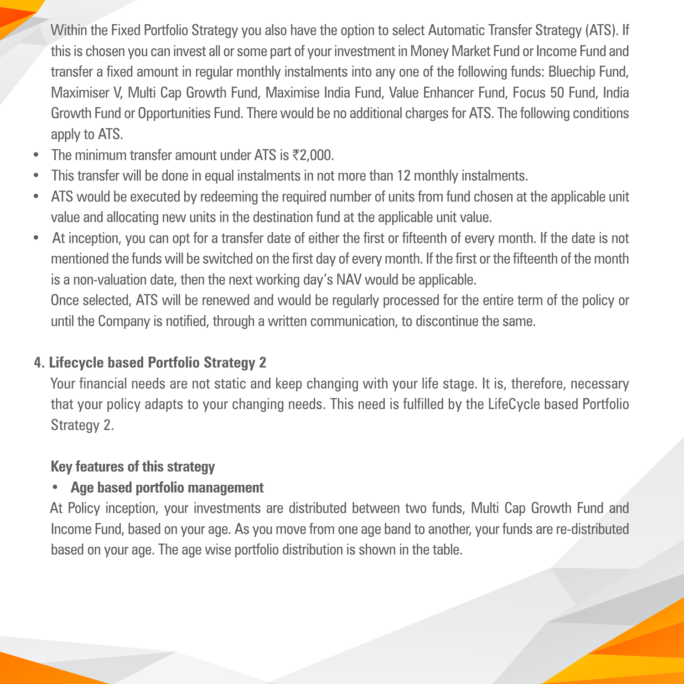Within the Fixed Portfolio Strategy you also have the option to select Automatic Transfer Strategy (ATS). If this is chosen you can invest all or some part of your investment in Money Market Fund or Income Fund and transfer a fixed amount in regular monthly instalments into any one of the following funds: Bluechip Fund, Maximiser V, Multi Cap Growth Fund, Maximise India Fund, Value Enhancer Fund, Focus 50 Fund, India Growth Fund or Opportunities Fund. There would be no additional charges for ATS. The following conditions apply to ATS.

- The minimum transfer amount under ATS is  $\bar{\tau}$ 2,000.
- This transfer will be done in equal instalments in not more than 12 monthly instalments.
- ATS would be executed by redeeming the required number of units from fund chosen at the applicable unit value and allocating new units in the destination fund at the applicable unit value.
- At inception, you can opt for a transfer date of either the first or fifteenth of every month. If the date is not mentioned the funds will be switched on the first day of every month. If the first or the fifteenth of the month is a non-valuation date, then the next working day's NAV would be applicable.

Once selected, ATS will be renewed and would be regularly processed for the entire term of the policy or until the Company is notified, through a written communication, to discontinue the same.

# **4. Lifecycle based Portfolio Strategy 2**

Your financial needs are not static and keep changing with your life stage. It is, therefore, necessary that your policy adapts to your changing needs. This need is fulfilled by the LifeCycle based Portfolio Strategy 2.

# **Key features of this strategy**

# • **Age based portfolio management**

At Policy inception, your investments are distributed between two funds, Multi Cap Growth Fund and Income Fund, based on your age. As you move from one age band to another, your funds are re-distributed based on your age. The age wise portfolio distribution is shown in the table.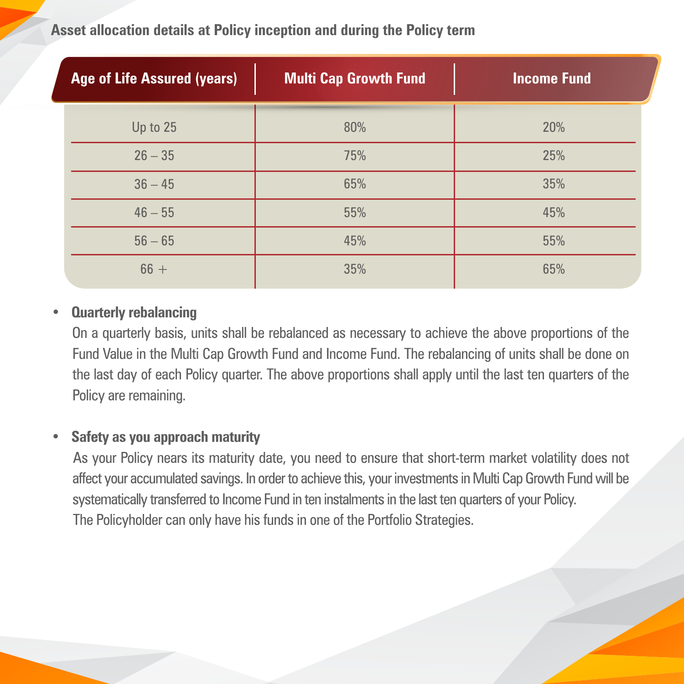**Asset allocation details at Policy inception and during the Policy term**

| <b>Age of Life Assured (years)</b> | <b>Multi Cap Growth Fund</b> | <b>Income Fund</b> |
|------------------------------------|------------------------------|--------------------|
| Up to 25                           | 80%                          | 20%                |
| $26 - 35$                          | 75%                          | 25%                |
| $36 - 45$                          | 65%                          | 35%                |
| $46 - 55$                          | 55%                          | 45%                |
| $56 - 65$                          | 45%                          | 55%                |
| $66 +$                             | 35%                          | 65%                |

#### • **Quarterly rebalancing**

On a quarterly basis, units shall be rebalanced as necessary to achieve the above proportions of the Fund Value in the Multi Cap Growth Fund and Income Fund. The rebalancing of units shall be done on the last day of each Policy quarter. The above proportions shall apply until the last ten quarters of the Policy are remaining.

#### • **Safety as you approach maturity**

As your Policy nears its maturity date, you need to ensure that short-term market volatility does not affect your accumulated savings. In order to achieve this, your investments in Multi Cap Growth Fund will be systematically transferred to Income Fund in ten instalments in the last ten quarters of your Policy. The Policyholder can only have his funds in one of the Portfolio Strategies.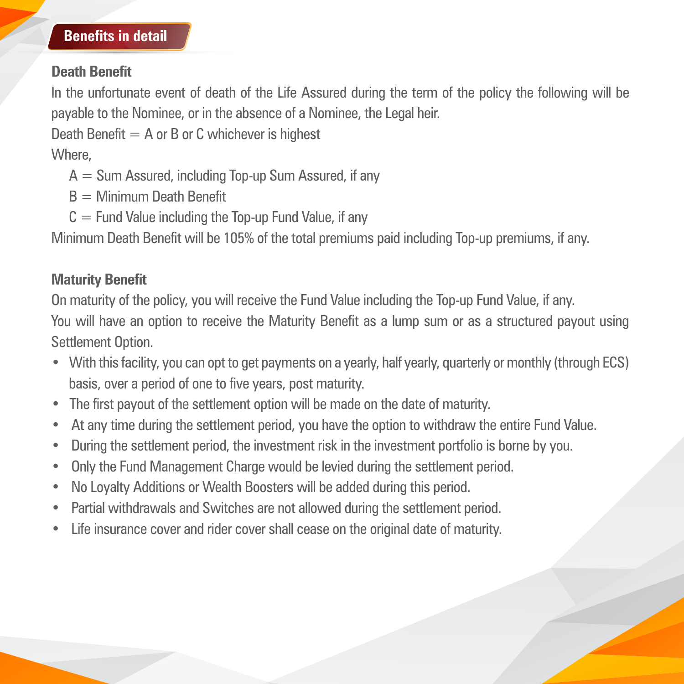#### **Benefits in detail**

# **Death Benefit**

In the unfortunate event of death of the Life Assured during the term of the policy the following will be payable to the Nominee, or in the absence of a Nominee, the Legal heir.

Death Benefit  $= A$  or B or C whichever is highest

Where,

- $A = Sum$  Assured, including Top-up Sum Assured, if any
- $B =$  Minimum Death Benefit
- $C =$  Fund Value including the Top-up Fund Value, if any

Minimum Death Benefit will be 105% of the total premiums paid including Top-up premiums, if any.

# **Maturity Benefit**

On maturity of the policy, you will receive the Fund Value including the Top-up Fund Value, if any. You will have an option to receive the Maturity Benefit as a lump sum or as a structured payout using Settlement Option.

- With this facility, you can opt to get payments on a yearly, half yearly, quarterly or monthly (through ECS) basis, over a period of one to five years, post maturity.
- The first payout of the settlement option will be made on the date of maturity.
- At any time during the settlement period, you have the option to withdraw the entire Fund Value.
- During the settlement period, the investment risk in the investment portfolio is borne by you.
- Only the Fund Management Charge would be levied during the settlement period.
- No Loyalty Additions or Wealth Boosters will be added during this period.
- Partial withdrawals and Switches are not allowed during the settlement period.
- Life insurance cover and rider cover shall cease on the original date of maturity.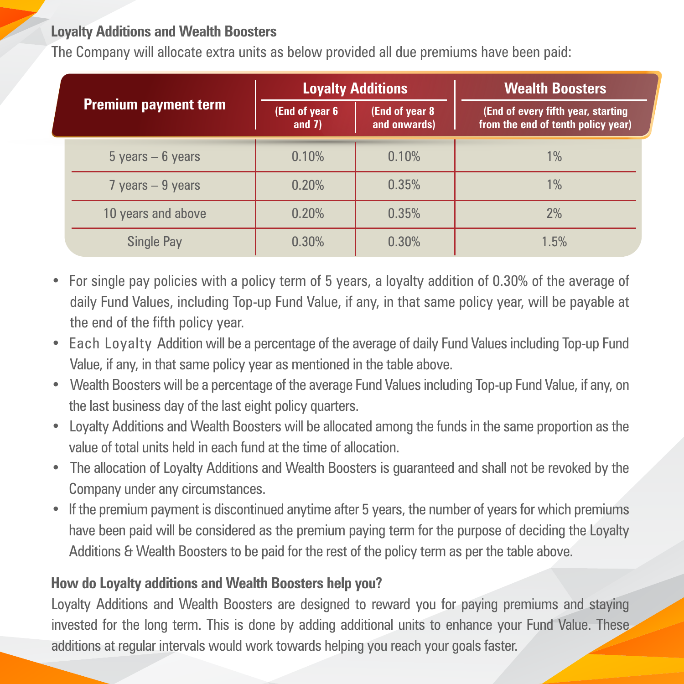# **Loyalty Additions and Wealth Boosters**

The Company will allocate extra units as below provided all due premiums have been paid:

|                             |                      |                            | <b>Loyalty Additions</b>       | <b>Wealth Boosters</b>                                                   |  |
|-----------------------------|----------------------|----------------------------|--------------------------------|--------------------------------------------------------------------------|--|
| <b>Premium payment term</b> |                      | (End of year 6<br>and $7)$ | (End of year 8<br>and onwards) | (End of every fifth year, starting<br>from the end of tenth policy year) |  |
|                             | $5$ years $-6$ years | 0.10%                      | 0.10%                          | $1\%$                                                                    |  |
|                             | $7$ years $-9$ years | 0.20%                      | 0.35%                          | 1%                                                                       |  |
|                             | 10 years and above   | 0.20%                      | 0.35%                          | 2%                                                                       |  |
|                             | <b>Single Pay</b>    | 0.30%                      | 0.30%                          | 1.5%                                                                     |  |

- For single pay policies with a policy term of 5 years, a loyalty addition of 0.30% of the average of daily Fund Values, including Top-up Fund Value, if any, in that same policy year, will be payable at the end of the fifth policy year.
- Each Loyalty Addition will be a percentage of the average of daily Fund Values including Top-up Fund Value, if any, in that same policy year as mentioned in the table above.
- Wealth Boosters will be a percentage of the average Fund Values including Top-up Fund Value, if any, on the last business day of the last eight policy quarters.
- Loyalty Additions and Wealth Boosters will be allocated among the funds in the same proportion as the value of total units held in each fund at the time of allocation.
- The allocation of Loyalty Additions and Wealth Boosters is guaranteed and shall not be revoked by the Company under any circumstances.
- If the premium payment is discontinued anytime after 5 years, the number of years for which premiums have been paid will be considered as the premium paying term for the purpose of deciding the Loyalty Additions & Wealth Boosters to be paid for the rest of the policy term as per the table above.

### **How do Loyalty additions and Wealth Boosters help you?**

Loyalty Additions and Wealth Boosters are designed to reward you for paying premiums and staying invested for the long term. This is done by adding additional units to enhance your Fund Value. These additions at regular intervals would work towards helping you reach your goals faster.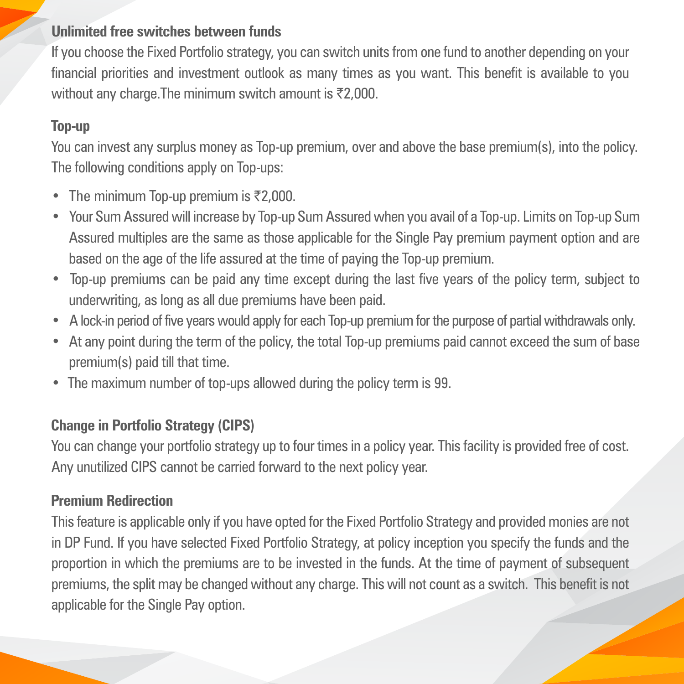# **Unlimited free switches between funds**

If you choose the Fixed Portfolio strategy, you can switch units from one fund to another depending on your financial priorities and investment outlook as many times as you want. This benefit is available to you without any charge. The minimum switch amount is  $\overline{\tau}2,000$ .

# **Top-up**

You can invest any surplus money as Top-up premium, over and above the base premium(s), into the policy. The following conditions apply on Top-ups:

- The minimum Top-up premium is  $\overline{z}2,000$ .
- Your Sum Assured will increase by Top-up Sum Assured when you avail of a Top-up. Limits on Top-up Sum Assured multiples are the same as those applicable for the Single Pay premium payment option and are based on the age of the life assured at the time of paying the Top-up premium.
- Top-up premiums can be paid any time except during the last five years of the policy term, subject to underwriting, as long as all due premiums have been paid.
- A lock-in period of five years would apply for each Top-up premium for the purpose of partial withdrawals only.
- At any point during the term of the policy, the total Top-up premiums paid cannot exceed the sum of base premium(s) paid till that time.
- The maximum number of top-ups allowed during the policy term is 99.

# **Change in Portfolio Strategy (CIPS)**

You can change your portfolio strategy up to four times in a policy year. This facility is provided free of cost. Any unutilized CIPS cannot be carried forward to the next policy year.

# **Premium Redirection**

This feature is applicable only if you have opted for the Fixed Portfolio Strategy and provided monies are not in DP Fund. If you have selected Fixed Portfolio Strategy, at policy inception you specify the funds and the proportion in which the premiums are to be invested in the funds. At the time of payment of subsequent premiums, the split may be changed without any charge. This will not count as a switch. This benefit is not applicable for the Single Pay option.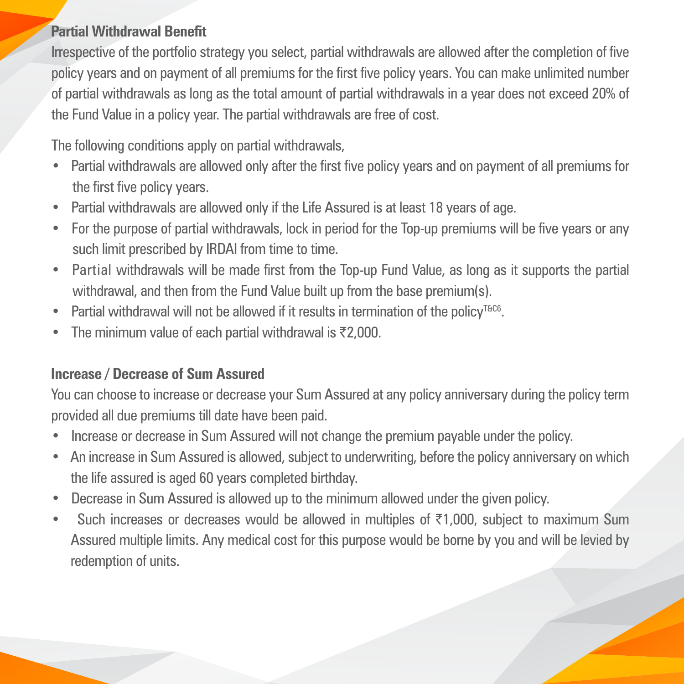# **Partial Withdrawal Benefit**

Irrespective of the portfolio strategy you select, partial withdrawals are allowed after the completion of five policy years and on payment of all premiums for the first five policy years. You can make unlimited number of partial withdrawals as long as the total amount of partial withdrawals in a year does not exceed 20% of the Fund Value in a policy year. The partial withdrawals are free of cost.

The following conditions apply on partial withdrawals,

- Partial withdrawals are allowed only after the first five policy years and on payment of all premiums for the first five policy years.
- Partial withdrawals are allowed only if the Life Assured is at least 18 years of age.
- For the purpose of partial withdrawals, lock in period for the Top-up premiums will be five years or any such limit prescribed by IRDAI from time to time.
- Partial withdrawals will be made first from the Top-up Fund Value, as long as it supports the partial withdrawal, and then from the Fund Value built up from the base premium(s).
- Partial withdrawal will not be allowed if it results in termination of the policy<sup>T&C6</sup>.
- The minimum value of each partial withdrawal is  $\bar{\tau}$ 2,000.

# **Increase / Decrease of Sum Assured**

You can choose to increase or decrease your Sum Assured at any policy anniversary during the policy term provided all due premiums till date have been paid.

- Increase or decrease in Sum Assured will not change the premium payable under the policy.
- An increase in Sum Assured is allowed, subject to underwriting, before the policy anniversary on which the life assured is aged 60 years completed birthday.
- Decrease in Sum Assured is allowed up to the minimum allowed under the given policy.
- Such increases or decreases would be allowed in multiples of  $\overline{51,000}$ , subject to maximum Sum Assured multiple limits. Any medical cost for this purpose would be borne by you and will be levied by redemption of units.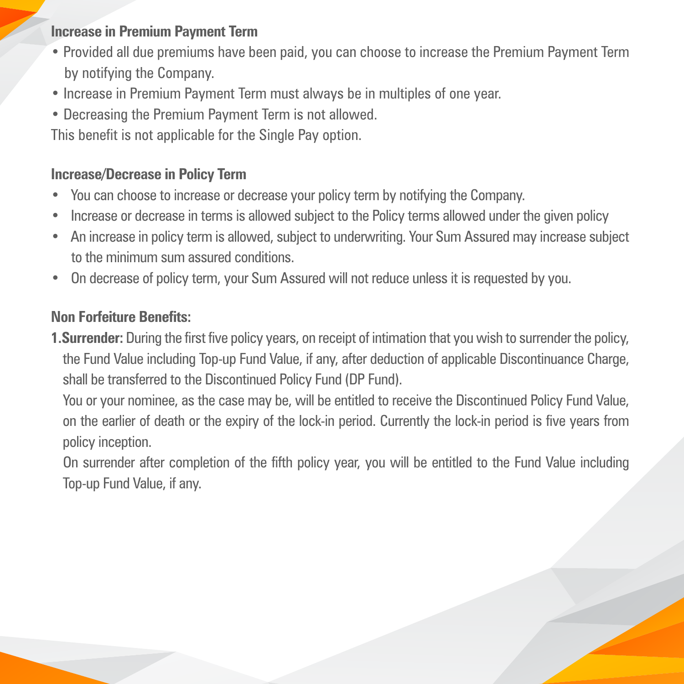# **Increase in Premium Payment Term**

- Provided all due premiums have been paid, you can choose to increase the Premium Payment Term by notifying the Company.
- Increase in Premium Payment Term must always be in multiples of one year.
- Decreasing the Premium Payment Term is not allowed.

This benefit is not applicable for the Single Pay option.

# **Increase/Decrease in Policy Term**

- You can choose to increase or decrease your policy term by notifying the Company.
- Increase or decrease in terms is allowed subject to the Policy terms allowed under the given policy
- An increase in policy term is allowed, subject to underwriting. Your Sum Assured may increase subject to the minimum sum assured conditions.
- On decrease of policy term, your Sum Assured will not reduce unless it is requested by you.

# **Non Forfeiture Benefits:**

**1.Surrender:** During the first five policy years, on receipt of intimation that you wish to surrender the policy, the Fund Value including Top-up Fund Value, if any, after deduction of applicable Discontinuance Charge, shall be transferred to the Discontinued Policy Fund (DP Fund).

You or your nominee, as the case may be, will be entitled to receive the Discontinued Policy Fund Value, on the earlier of death or the expiry of the lock-in period. Currently the lock-in period is five years from policy inception.

On surrender after completion of the fifth policy year, you will be entitled to the Fund Value including Top-up Fund Value, if any.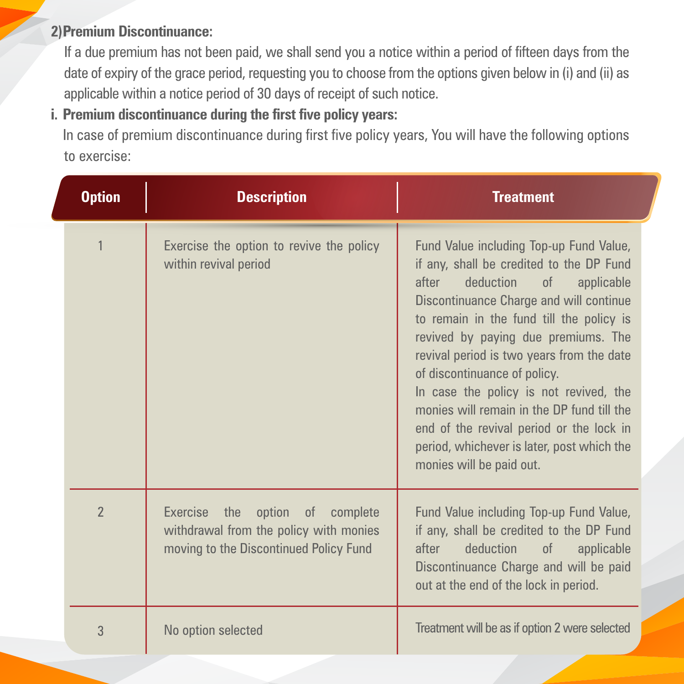# **2) Premium Discontinuance:**

If a due premium has not been paid, we shall send you a notice within a period of fifteen days from the date of expiry of the grace period, requesting you to choose from the options given below in (i) and (ii) as applicable within a notice period of 30 days of receipt of such notice.

# **i. Premium discontinuance during the first five policy years:**

In case of premium discontinuance during first five policy years, You will have the following options to exercise:

| <b>Option</b>  | <b>Description</b>                                                                                                  | <b>Treatment</b>                                                                                                                                                                                                                                                                                                                                                                                                                                                                                                                                           |
|----------------|---------------------------------------------------------------------------------------------------------------------|------------------------------------------------------------------------------------------------------------------------------------------------------------------------------------------------------------------------------------------------------------------------------------------------------------------------------------------------------------------------------------------------------------------------------------------------------------------------------------------------------------------------------------------------------------|
|                | Exercise the option to revive the policy<br>within revival period                                                   | Fund Value including Top-up Fund Value,<br>if any, shall be credited to the DP Fund<br>deduction of<br>applicable<br>after<br><b>Discontinuance Charge and will continue</b><br>to remain in the fund till the policy is<br>revived by paying due premiums. The<br>revival period is two years from the date<br>of discontinuance of policy.<br>In case the policy is not revived, the<br>monies will remain in the DP fund till the<br>end of the revival period or the lock in<br>period, whichever is later, post which the<br>monies will be paid out. |
| $\overline{2}$ | Exercise the option of complete<br>withdrawal from the policy with monies<br>moving to the Discontinued Policy Fund | Fund Value including Top-up Fund Value,<br>if any, shall be credited to the DP Fund<br>deduction<br>after<br>of<br>applicable<br>Discontinuance Charge and will be paid<br>out at the end of the lock in period.                                                                                                                                                                                                                                                                                                                                           |
| 3              | No option selected                                                                                                  | Treatment will be as if option 2 were selected                                                                                                                                                                                                                                                                                                                                                                                                                                                                                                             |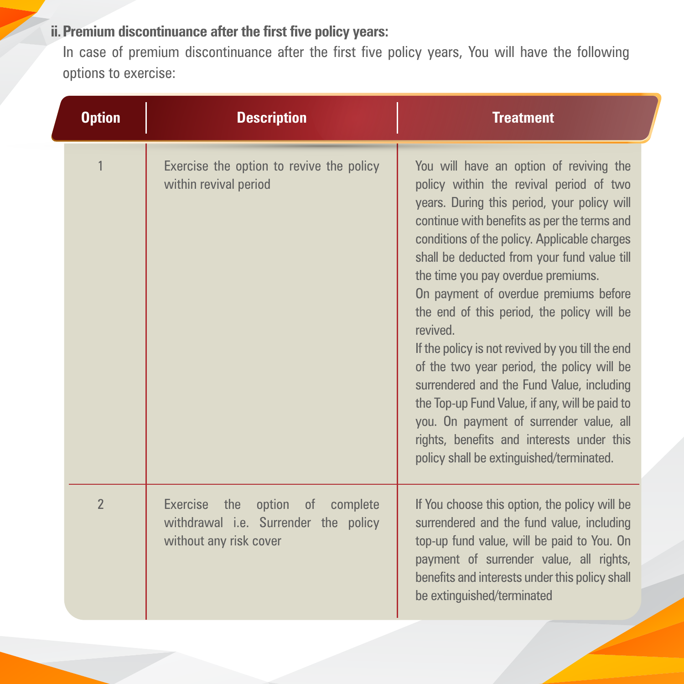# **ii. Premium discontinuance after the first five policy years:**

In case of premium discontinuance after the first five policy years, You will have the following options to exercise:

| <b>Option</b>  | <b>Description</b>                                                                                      | <b>Treatment</b>                                                                                                                                                                                                                                                                                                                                                                                                                                                                                                                                                                                                                                                                                                                                              |  |  |
|----------------|---------------------------------------------------------------------------------------------------------|---------------------------------------------------------------------------------------------------------------------------------------------------------------------------------------------------------------------------------------------------------------------------------------------------------------------------------------------------------------------------------------------------------------------------------------------------------------------------------------------------------------------------------------------------------------------------------------------------------------------------------------------------------------------------------------------------------------------------------------------------------------|--|--|
|                | Exercise the option to revive the policy<br>within revival period                                       | You will have an option of reviving the<br>policy within the revival period of two<br>years. During this period, your policy will<br>continue with benefits as per the terms and<br>conditions of the policy. Applicable charges<br>shall be deducted from your fund value till<br>the time you pay overdue premiums.<br>On payment of overdue premiums before<br>the end of this period, the policy will be<br>revived.<br>If the policy is not revived by you till the end<br>of the two year period, the policy will be<br>surrendered and the Fund Value, including<br>the Top-up Fund Value, if any, will be paid to<br>you. On payment of surrender value, all<br>rights, benefits and interests under this<br>policy shall be extinguished/terminated. |  |  |
| $\overline{2}$ | option of<br>Exercise the<br>complete<br>withdrawal i.e. Surrender the policy<br>without any risk cover | If You choose this option, the policy will be<br>surrendered and the fund value, including<br>top-up fund value, will be paid to You. On<br>payment of surrender value, all rights,<br>benefits and interests under this policy shall<br>be extinguished/terminated                                                                                                                                                                                                                                                                                                                                                                                                                                                                                           |  |  |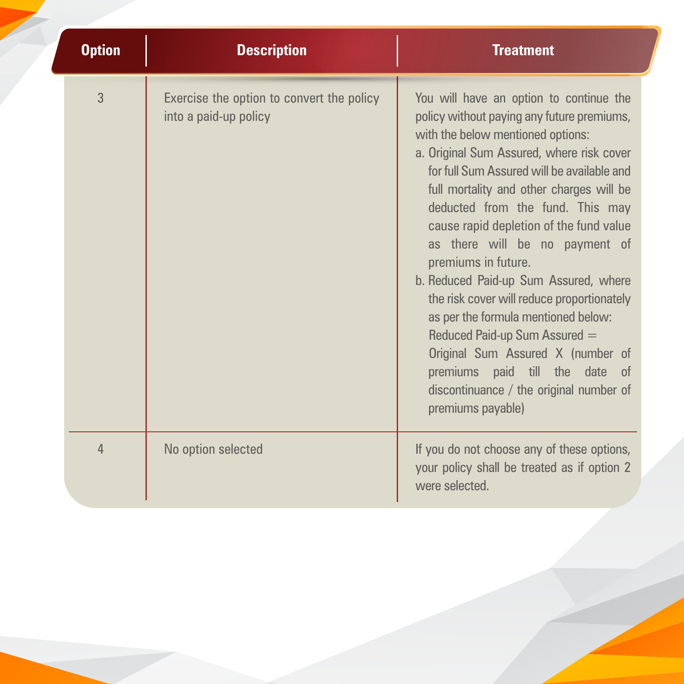| <b>Option</b><br><b>Description</b> |                                                                    | <b>Treatment</b>                                                                                                                                                                                                                                                                                                                                                                                                                                                                                                                                                                                                                                                                                                |
|-------------------------------------|--------------------------------------------------------------------|-----------------------------------------------------------------------------------------------------------------------------------------------------------------------------------------------------------------------------------------------------------------------------------------------------------------------------------------------------------------------------------------------------------------------------------------------------------------------------------------------------------------------------------------------------------------------------------------------------------------------------------------------------------------------------------------------------------------|
| $\overline{3}$                      | Exercise the option to convert the policy<br>into a paid-up policy | You will have an option to continue the<br>policy without paying any future premiums,<br>with the below mentioned options:<br>a. Original Sum Assured, where risk cover<br>for full Sum Assured will be available and<br>full mortality and other charges will be<br>deducted from the fund. This may<br>cause rapid depletion of the fund value<br>as there will be no payment of<br>premiums in future.<br>b. Reduced Paid-up Sum Assured, where<br>the risk cover will reduce proportionately<br>as per the formula mentioned below:<br>Reduced Paid-up Sum Assured =<br>Original Sum Assured X (number of<br>premiums paid till the date of<br>discontinuance / the original number of<br>premiums payable) |
| 4                                   | No option selected                                                 | If you do not choose any of these options,<br>your policy shall be treated as if option 2<br>were selected.                                                                                                                                                                                                                                                                                                                                                                                                                                                                                                                                                                                                     |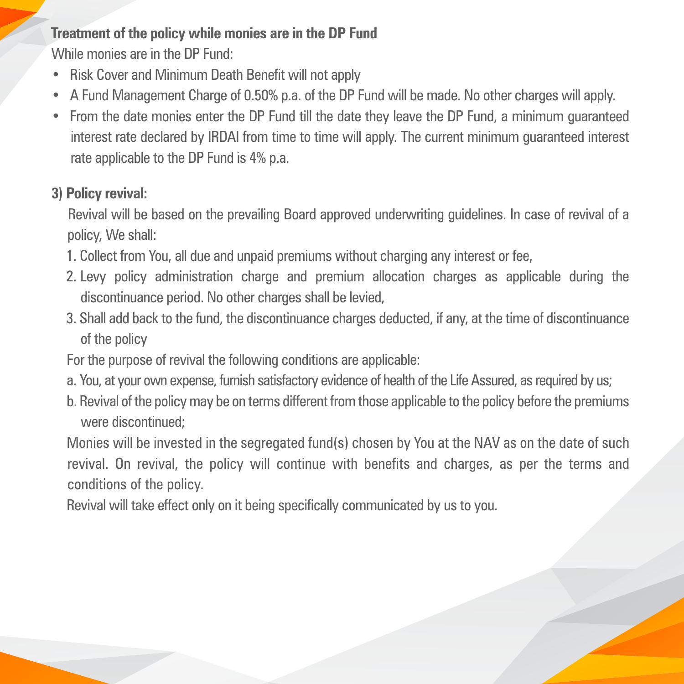# **Treatment of the policy while monies are in the DP Fund**

While monies are in the DP Fund:

- Risk Cover and Minimum Death Benefit will not apply
- A Fund Management Charge of 0.50% p.a. of the DP Fund will be made. No other charges will apply.
- From the date monies enter the DP Fund till the date they leave the DP Fund, a minimum guaranteed interest rate declared by IRDAI from time to time will apply. The current minimum guaranteed interest rate applicable to the DP Fund is 4% p.a.

# **3) Policy revival:**

Revival will be based on the prevailing Board approved underwriting guidelines. In case of revival of a policy, We shall:

- 1. Collect from You, all due and unpaid premiums without charging any interest or fee,
- 2. Levy policy administration charge and premium allocation charges as applicable during the discontinuance period. No other charges shall be levied,
- 3. Shall add back to the fund, the discontinuance charges deducted, if any, at the time of discontinuance of the policy
- For the purpose of revival the following conditions are applicable:
- a. You, at your own expense, furnish satisfactory evidence of health of the Life Assured, as required by us;
- b. Revival of the policy may be on terms different from those applicable to the policy before the premiums were discontinued;

Monies will be invested in the segregated fund(s) chosen by You at the NAV as on the date of such revival. On revival, the policy will continue with benefits and charges, as per the terms and conditions of the policy.

Revival will take effect only on it being specifically communicated by us to you.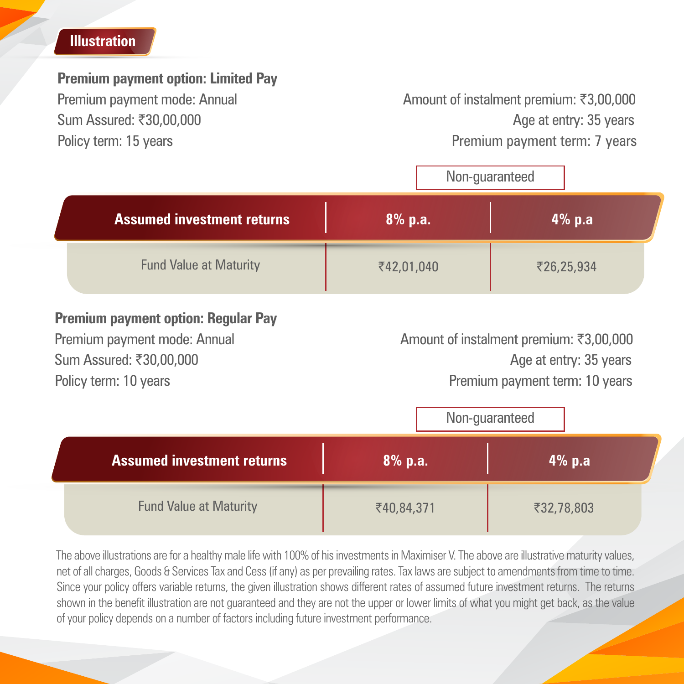# **Illustration**

#### **Premium payment option: Limited Pay**

Premium payment mode: Annual Amount of instalment premium: ₹3,00,000 Sum Assured: ₹30,00,000 Age at entry: 35 years Policy term: 15 years **Premium payment term: 7 years** Premium payment term: 7 years

|                                   |            | Non-guaranteed |  |
|-----------------------------------|------------|----------------|--|
| <b>Assumed investment returns</b> | 8% p.a.    | 4%p.a          |  |
| <b>Fund Value at Maturity</b>     | ₹42,01,040 | ₹26,25,934     |  |

### **Premium payment option: Regular Pay**

Premium payment mode: Annual Amount of instalment premium: ₹3,00,000 Sum Assured: ₹30,00,000 Age at entry: 35 years Policy term: 10 years **Premium payment term: 10 years** Premium payment term: 10 years

|                                   | Non-guaranteed |            |  |
|-----------------------------------|----------------|------------|--|
| <b>Assumed investment returns</b> | 8% p.a.        | 4%p.a      |  |
| <b>Fund Value at Maturity</b>     | ₹40,84,371     | ₹32,78,803 |  |

The above illustrations are for a healthy male life with 100% of his investments in Maximiser V. The above are illustrative maturity values, net of all charges, Goods & Services Tax and Cess (if any) as per prevailing rates. Tax laws are subject to amendments from time to time. Since your policy offers variable returns, the given illustration shows different rates of assumed future investment returns. The returns shown in the benefit illustration are not guaranteed and they are not the upper or lower limits of what you might get back, as the value of your policy depends on a number of factors including future investment performance.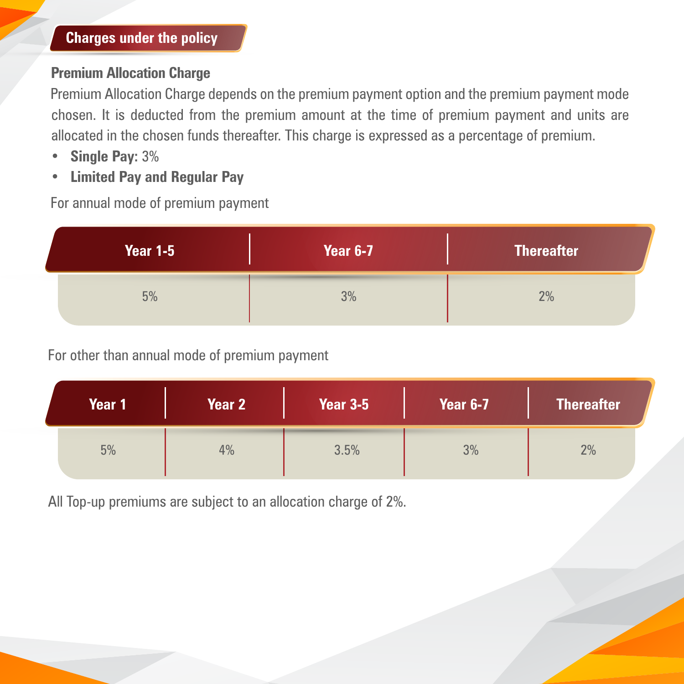#### **Premium Allocation Charge**

Premium Allocation Charge depends on the premium payment option and the premium payment mode chosen. It is deducted from the premium amount at the time of premium payment and units are allocated in the chosen funds thereafter. This charge is expressed as a percentage of premium.

- **Single Pay:** 3%
- **Limited Pay and Regular Pay**

For annual mode of premium payment

| <b>Year 1-5</b> | <b>Year 6-7</b> | <b>Thereafter</b> |
|-----------------|-----------------|-------------------|
| 5%              | 3%              | 2%                |

For other than annual mode of premium payment

| Year 1 | Year 2 | <b>Year 3-5</b> | <b>Year 6-7</b> | <b>Thereafter</b> |
|--------|--------|-----------------|-----------------|-------------------|
| 5%     | 4%     | 3.5%            | 3%              | 2%                |

All Top-up premiums are subject to an allocation charge of 2%.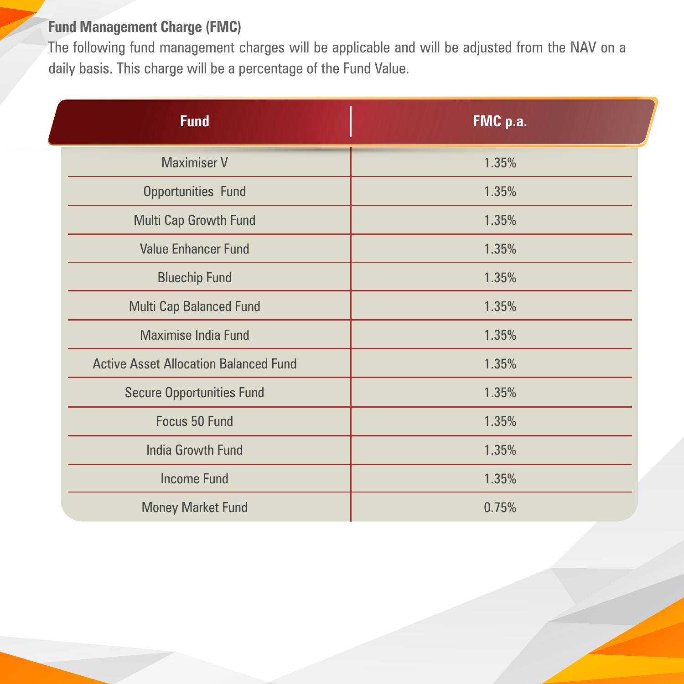# **Fund Management Charge (FMC)**

The following fund management charges will be applicable and will be adjusted from the NAV on a daily basis. This charge will be a percentage of the Fund Value.

| <b>Fund</b>                                  | FMC p.a. |
|----------------------------------------------|----------|
| <b>Maximiser V</b>                           | 1.35%    |
| <b>Opportunities Fund</b>                    | 1.35%    |
| <b>Multi Cap Growth Fund</b>                 | 1.35%    |
| <b>Value Enhancer Fund</b>                   | 1.35%    |
| <b>Bluechip Fund</b>                         | 1.35%    |
| Multi Cap Balanced Fund                      | 1.35%    |
| <b>Maximise India Fund</b>                   | 1.35%    |
| <b>Active Asset Allocation Balanced Fund</b> | 1.35%    |
| <b>Secure Opportunities Fund</b>             | 1.35%    |
| Focus 50 Fund                                | 1.35%    |
| <b>India Growth Fund</b>                     | 1.35%    |
| <b>Income Fund</b>                           | 1.35%    |
| <b>Money Market Fund</b>                     | 0.75%    |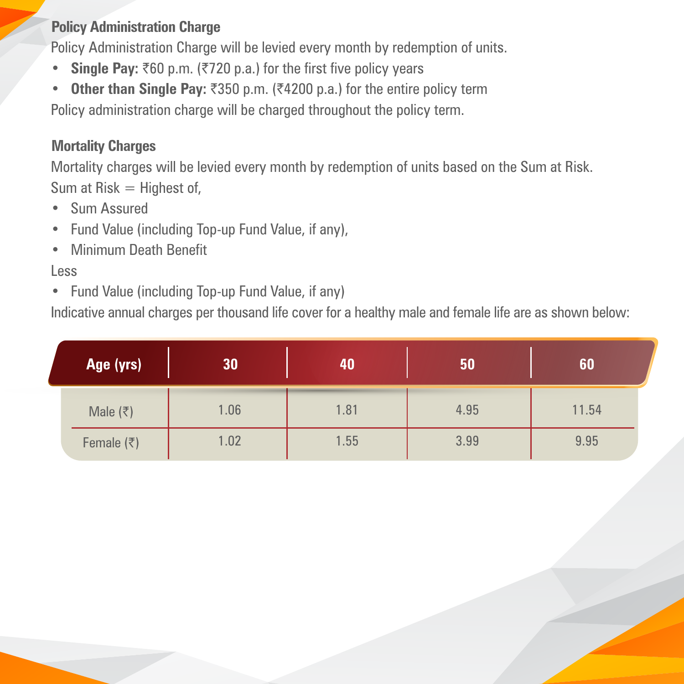# **Policy Administration Charge**

Policy Administration Charge will be levied every month by redemption of units.

- Single Pay: ₹60 p.m. (₹720 p.a.) for the first five policy years
- Other than Single Pay: ₹350 p.m. (₹4200 p.a.) for the entire policy term

Policy administration charge will be charged throughout the policy term.

# **Mortality Charges**

Mortality charges will be levied every month by redemption of units based on the Sum at Risk. Sum at  $Risk = Higher$  of,

- Sum Assured
- Fund Value (including Top-up Fund Value, if any),
- Minimum Death Benefit

#### Less

• Fund Value (including Top-up Fund Value, if any)

Indicative annual charges per thousand life cover for a healthy male and female life are as shown below:

| Age (yrs)                  | 30   | 40   | 50   | 60    |
|----------------------------|------|------|------|-------|
| Male $(\overline{\zeta})$  | 1.06 | 1.81 | 4.95 | 11.54 |
| Female $(\overline{\tau})$ | 1.02 | 1.55 | 3.99 | 9.95  |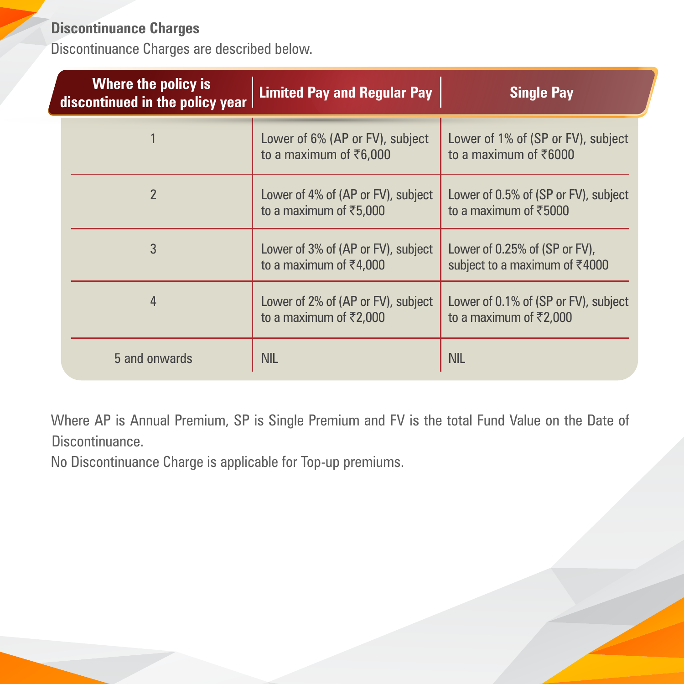# **Discontinuance Charges**

Discontinuance Charges are described below.

| Where the policy is<br>discontinued in the policy year | <b>Limited Pay and Regular Pay</b>                                       | <b>Single Pay</b>                                                          |
|--------------------------------------------------------|--------------------------------------------------------------------------|----------------------------------------------------------------------------|
|                                                        | Lower of 6% (AP or FV), subject<br>to a maximum of $\bar{\tau}6,000$     | Lower of 1% of (SP or FV), subject<br>to a maximum of ₹6000                |
| $\overline{2}$                                         | Lower of 4% of (AP or FV), subject<br>to a maximum of ₹5,000             | Lower of 0.5% of (SP or FV), subject<br>to a maximum of ₹5000              |
| 3                                                      | Lower of 3% of (AP or FV), subject<br>to a maximum of ₹4,000             | Lower of 0.25% of (SP or FV),<br>subject to a maximum of ₹4000             |
| 4                                                      | Lower of 2% of (AP or FV), subject<br>to a maximum of $\bar{\tau}$ 2,000 | Lower of 0.1% of (SP or FV), subject<br>to a maximum of $\bar{\tau}$ 2,000 |
| 5 and onwards                                          | <b>NIL</b>                                                               | <b>NIL</b>                                                                 |

Where AP is Annual Premium, SP is Single Premium and FV is the total Fund Value on the Date of Discontinuance.

No Discontinuance Charge is applicable for Top-up premiums.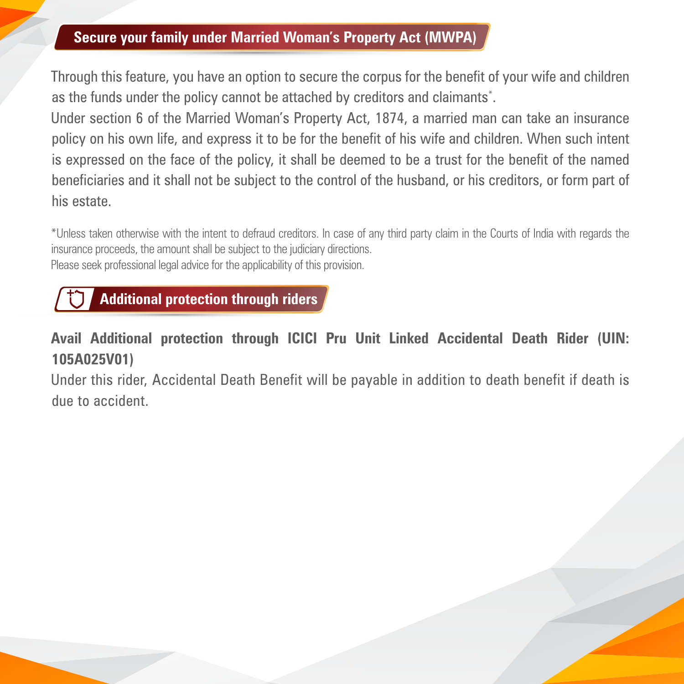### **Secure your family under Married Woman's Property Act (MWPA)**

Through this feature, you have an option to secure the corpus for the benefit of your wife and children as the funds under the policy cannot be attached by creditors and claimants\* .

Under section 6 of the Married Woman's Property Act, 1874, a married man can take an insurance policy on his own life, and express it to be for the benefit of his wife and children. When such intent is expressed on the face of the policy, it shall be deemed to be a trust for the benefit of the named beneficiaries and it shall not be subject to the control of the husband, or his creditors, or form part of his estate.

\*Unless taken otherwise with the intent to defraud creditors. In case of any third party claim in the Courts of India with regards the insurance proceeds, the amount shall be subject to the judiciary directions. Please seek professional legal advice for the applicability of this provision.



# **Avail Additional protection through ICICI Pru Unit Linked Accidental Death Rider (UIN: 105A025V01)**

Under this rider, Accidental Death Benefit will be payable in addition to death benefit if death is due to accident.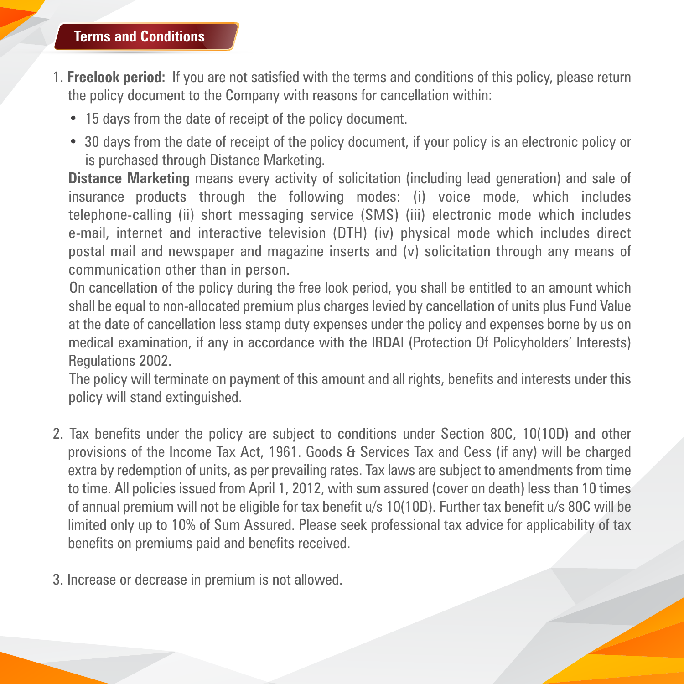#### **Terms and Conditions**

- 1. **Freelook period:** If you are not satisfied with the terms and conditions of this policy, please return the policy document to the Company with reasons for cancellation within:
	- 15 days from the date of receipt of the policy document.
	- 30 days from the date of receipt of the policy document, if your policy is an electronic policy or is purchased through Distance Marketing.

**Distance Marketing** means every activity of solicitation (including lead generation) and sale of insurance products through the following modes: (i) voice mode, which includes telephone-calling (ii) short messaging service (SMS) (iii) electronic mode which includes e-mail, internet and interactive television (DTH) (iv) physical mode which includes direct postal mail and newspaper and magazine inserts and (v) solicitation through any means of communication other than in person.

On cancellation of the policy during the free look period, you shall be entitled to an amount which shall be equal to non-allocated premium plus charges levied by cancellation of units plus Fund Value at the date of cancellation less stamp duty expenses under the policy and expenses borne by us on medical examination, if any in accordance with the IRDAI (Protection Of Policyholders' Interests) Regulations 2002.

The policy will terminate on payment of this amount and all rights, benefits and interests under this policy will stand extinguished.

- 2. Tax benefits under the policy are subject to conditions under Section 80C, 10(10D) and other provisions of the Income Tax Act, 1961. Goods & Services Tax and Cess (if any) will be charged extra by redemption of units, as per prevailing rates. Tax laws are subject to amendments from time to time. All policies issued from April 1, 2012, with sum assured (cover on death) less than 10 times of annual premium will not be eligible for tax benefit u/s 10(10D). Further tax benefit u/s 80C will be limited only up to 10% of Sum Assured. Please seek professional tax advice for applicability of tax benefits on premiums paid and benefits received.
- 3. Increase or decrease in premium is not allowed.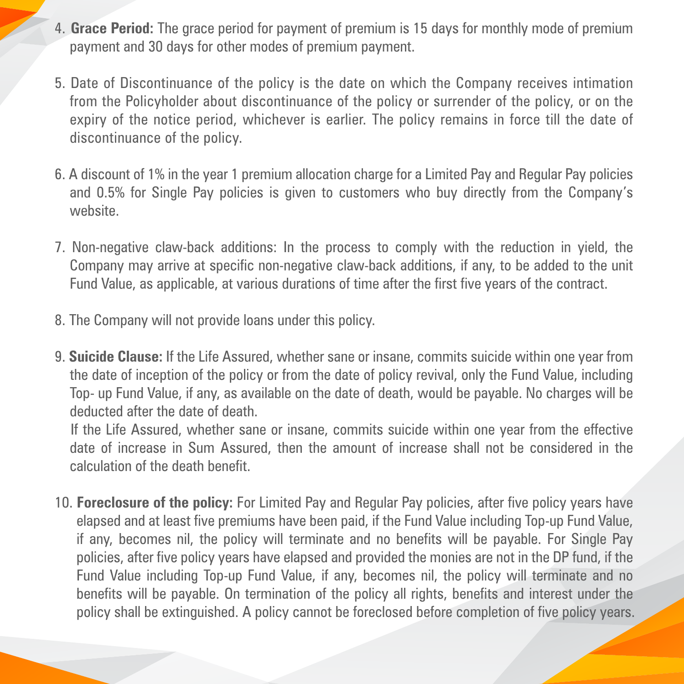- 4. **Grace Period:** The grace period for payment of premium is 15 days for monthly mode of premium payment and 30 days for other modes of premium payment.
- 5. Date of Discontinuance of the policy is the date on which the Company receives intimation from the Policyholder about discontinuance of the policy or surrender of the policy, or on the expiry of the notice period, whichever is earlier. The policy remains in force till the date of discontinuance of the policy.
- 6. A discount of 1% in the year 1 premium allocation charge for a Limited Pay and Regular Pay policies and 0.5% for Single Pay policies is given to customers who buy directly from the Company's website.
- 7. Non-negative claw-back additions: In the process to comply with the reduction in yield, the Company may arrive at specific non-negative claw-back additions, if any, to be added to the unit Fund Value, as applicable, at various durations of time after the first five years of the contract.
- 8. The Company will not provide loans under this policy.
- 9. **Suicide Clause:** If the Life Assured, whether sane or insane, commits suicide within one year from the date of inception of the policy or from the date of policy revival, only the Fund Value, including Top- up Fund Value, if any, as available on the date of death, would be payable. No charges will be deducted after the date of death.

If the Life Assured, whether sane or insane, commits suicide within one year from the effective date of increase in Sum Assured, then the amount of increase shall not be considered in the calculation of the death benefit.

10. **Foreclosure of the policy:** For Limited Pay and Regular Pay policies, after five policy years have elapsed and at least five premiums have been paid, if the Fund Value including Top-up Fund Value, if any, becomes nil, the policy will terminate and no benefits will be payable. For Single Pay policies, after five policy years have elapsed and provided the monies are not in the DP fund, if the Fund Value including Top-up Fund Value, if any, becomes nil, the policy will terminate and no benefits will be payable. On termination of the policy all rights, benefits and interest under the policy shall be extinguished. A policy cannot be foreclosed before completion of five policy years.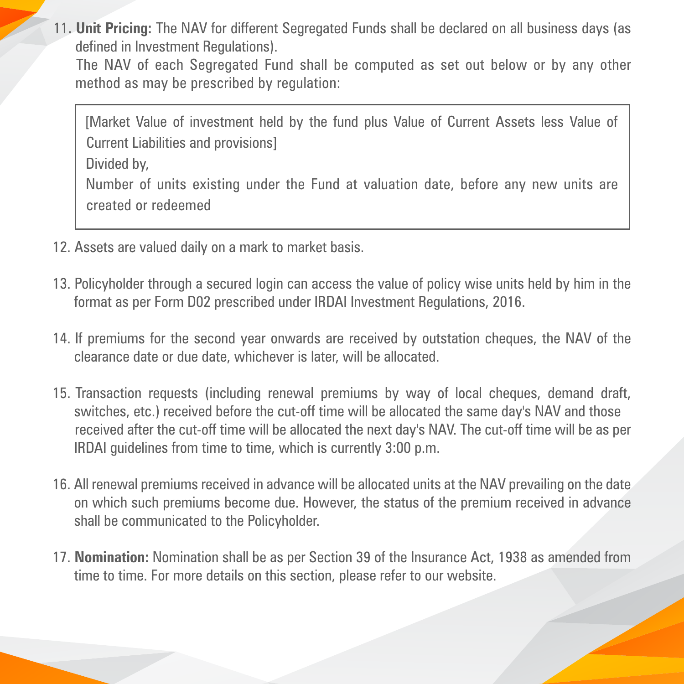11**. Unit Pricing:** The NAV for different Segregated Funds shall be declared on all business days (as defined in Investment Regulations).

The NAV of each Segregated Fund shall be computed as set out below or by any other method as may be prescribed by regulation:

[Market Value of investment held by the fund plus Value of Current Assets less Value of Current Liabilities and provisions] Divided by, Number of units existing under the Fund at valuation date, before any new units are created or redeemed

- 12. Assets are valued daily on a mark to market basis.
- 13. Policyholder through a secured login can access the value of policy wise units held by him in the format as per Form D02 prescribed under IRDAI Investment Regulations, 2016.
- 14. If premiums for the second year onwards are received by outstation cheques, the NAV of the clearance date or due date, whichever is later, will be allocated.
- 15. Transaction requests (including renewal premiums by way of local cheques, demand draft, switches, etc.) received before the cut-off time will be allocated the same day's NAV and those received after the cut-off time will be allocated the next day's NAV. The cut-off time will be as per IRDAI guidelines from time to time, which is currently 3:00 p.m.
- 16. All renewal premiums received in advance will be allocated units at the NAV prevailing on the date on which such premiums become due. However, the status of the premium received in advance shall be communicated to the Policyholder.
- 17. **Nomination:** Nomination shall be as per Section 39 of the Insurance Act, 1938 as amended from time to time. For more details on this section, please refer to our website.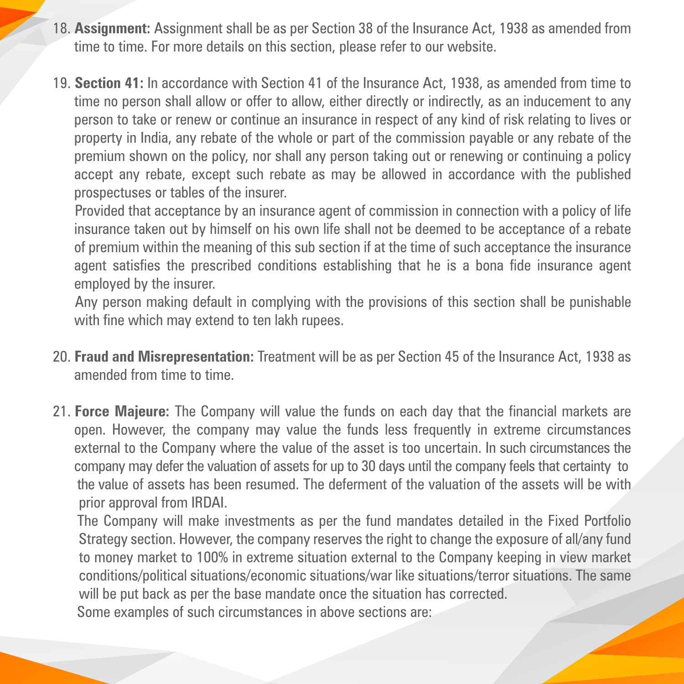- 18. **Assignment:** Assignment shall be as per Section 38 of the Insurance Act, 1938 as amended from time to time. For more details on this section, please refer to our website.
- 19. **Section 41:** In accordance with Section 41 of the Insurance Act, 1938, as amended from time to time no person shall allow or offer to allow, either directly or indirectly, as an inducement to any person to take or renew or continue an insurance in respect of any kind of risk relating to lives or property in India, any rebate of the whole or part of the commission payable or any rebate of the premium shown on the policy, nor shall any person taking out or renewing or continuing a policy accept any rebate, except such rebate as may be allowed in accordance with the published prospectuses or tables of the insurer.

Provided that acceptance by an insurance agent of commission in connection with a policy of life insurance taken out by himself on his own life shall not be deemed to be acceptance of a rebate of premium within the meaning of this sub section if at the time of such acceptance the insurance agent satisfies the prescribed conditions establishing that he is a bona fide insurance agent employed by the insurer.

Any person making default in complying with the provisions of this section shall be punishable with fine which may extend to ten lakh rupees.

- 20. **Fraud and Misrepresentation:** Treatment will be as per Section 45 of the Insurance Act, 1938 as amended from time to time.
- 21. **Force Majeure:** The Company will value the funds on each day that the financial markets are open. However, the company may value the funds less frequently in extreme circumstances external to the Company where the value of the asset is too uncertain. In such circumstances the company may defer the valuation of assets for up to 30 days until the company feels that certainty to the value of assets has been resumed. The deferment of the valuation of the assets will be with prior approval from IRDAI.

The Company will make investments as per the fund mandates detailed in the Fixed Portfolio Strategy section. However, the company reserves the right to change the exposure of all/any fund to money market to 100% in extreme situation external to the Company keeping in view market conditions/political situations/economic situations/war like situations/terror situations. The same will be put back as per the base mandate once the situation has corrected. Some examples of such circumstances in above sections are: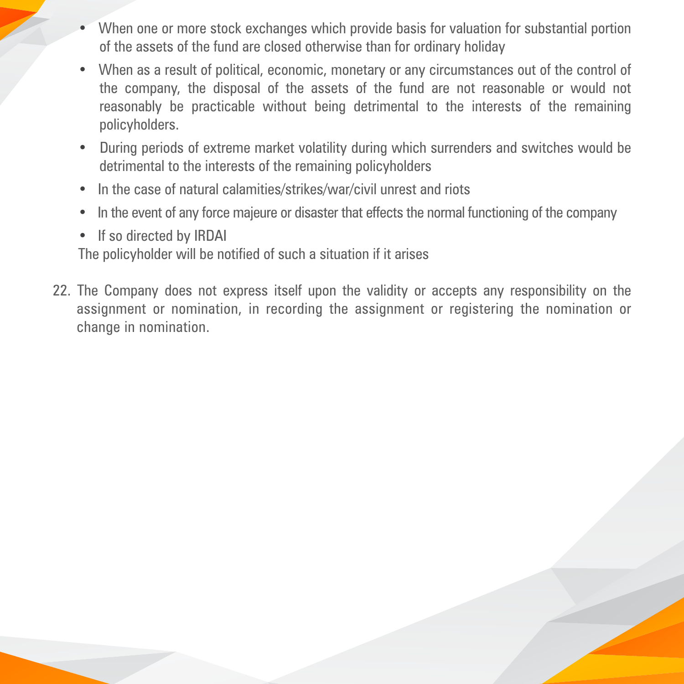- When one or more stock exchanges which provide basis for valuation for substantial portion of the assets of the fund are closed otherwise than for ordinary holiday
- When as a result of political, economic, monetary or any circumstances out of the control of the company, the disposal of the assets of the fund are not reasonable or would not reasonably be practicable without being detrimental to the interests of the remaining policyholders.
- During periods of extreme market volatility during which surrenders and switches would be detrimental to the interests of the remaining policyholders
- In the case of natural calamities/strikes/war/civil unrest and riots
- In the event of any force majeure or disaster that effects the normal functioning of the company
- If so directed by IRDAI

The policyholder will be notified of such a situation if it arises

22. The Company does not express itself upon the validity or accepts any responsibility on the assignment or nomination, in recording the assignment or registering the nomination or change in nomination.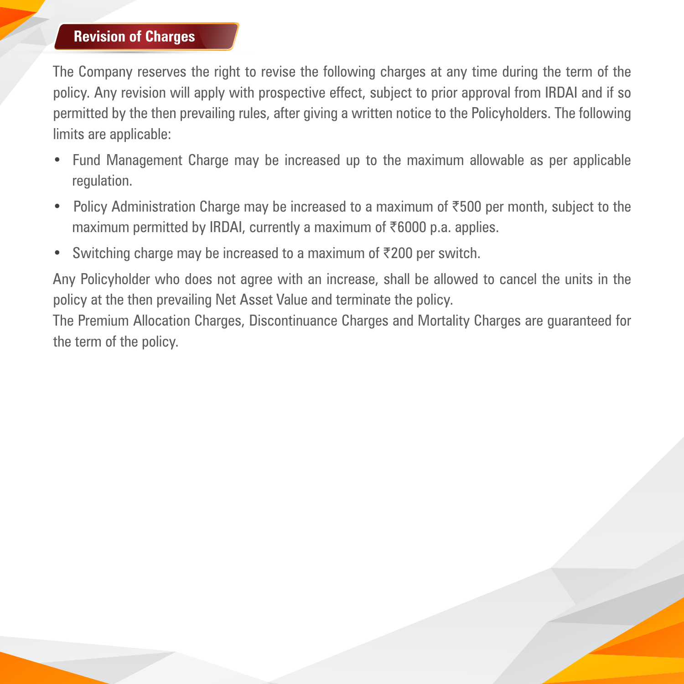#### **Revision of Charges**

The Company reserves the right to revise the following charges at any time during the term of the policy. Any revision will apply with prospective effect, subject to prior approval from IRDAI and if so permitted by the then prevailing rules, after giving a written notice to the Policyholders. The following limits are applicable:

- Fund Management Charge may be increased up to the maximum allowable as per applicable regulation.
- Policy Administration Charge may be increased to a maximum of  $\overline{500}$  per month, subject to the maximum permitted by IRDAI, currently a maximum of  $\bar{\tau}6000$  p.a. applies.
- Switching charge may be increased to a maximum of  $\overline{\tau}$ 200 per switch.

Any Policyholder who does not agree with an increase, shall be allowed to cancel the units in the policy at the then prevailing Net Asset Value and terminate the policy.

The Premium Allocation Charges, Discontinuance Charges and Mortality Charges are guaranteed for the term of the policy.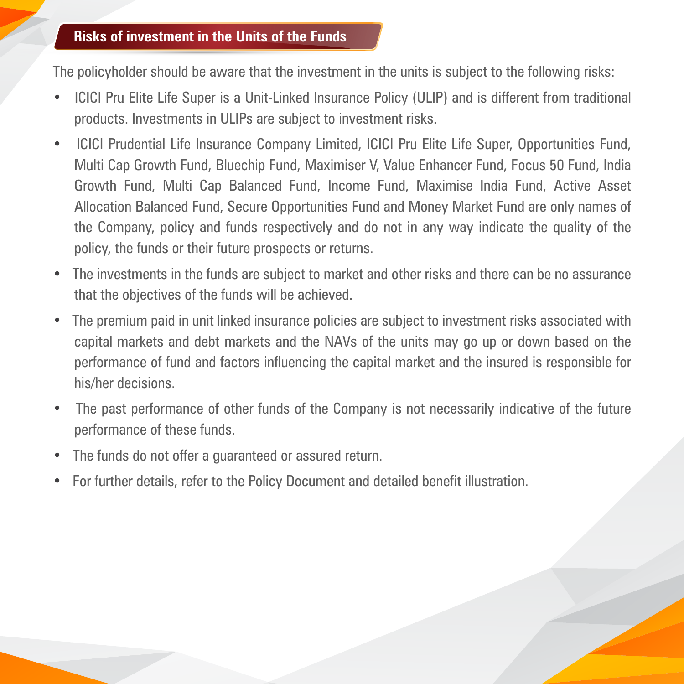#### **Risks of investment in the Units of the Funds**

The policyholder should be aware that the investment in the units is subject to the following risks:

- ICICI Pru Elite Life Super is a Unit-Linked Insurance Policy (ULIP) and is different from traditional products. Investments in ULIPs are subject to investment risks.
- ICICI Prudential Life Insurance Company Limited, ICICI Pru Elite Life Super, Opportunities Fund, Multi Cap Growth Fund, Bluechip Fund, Maximiser V, Value Enhancer Fund, Focus 50 Fund, India Growth Fund, Multi Cap Balanced Fund, Income Fund, Maximise India Fund, Active Asset Allocation Balanced Fund, Secure Opportunities Fund and Money Market Fund are only names of the Company, policy and funds respectively and do not in any way indicate the quality of the policy, the funds or their future prospects or returns.
- The investments in the funds are subject to market and other risks and there can be no assurance that the objectives of the funds will be achieved.
- The premium paid in unit linked insurance policies are subject to investment risks associated with capital markets and debt markets and the NAVs of the units may go up or down based on the performance of fund and factors influencing the capital market and the insured is responsible for his/her decisions.
- The past performance of other funds of the Company is not necessarily indicative of the future performance of these funds.
- The funds do not offer a guaranteed or assured return.
- For further details, refer to the Policy Document and detailed benefit illustration.